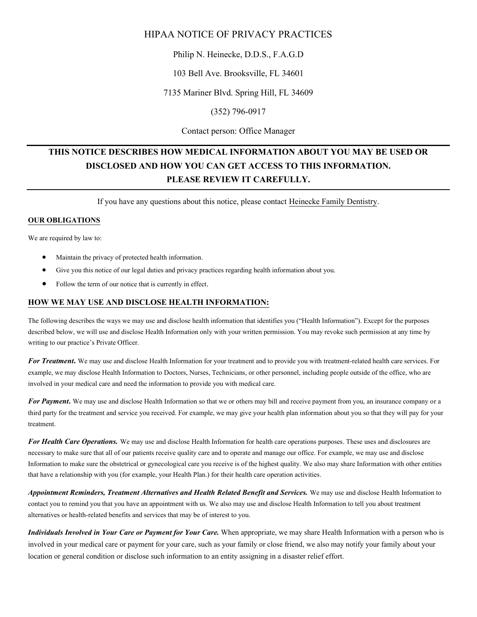# HIPAA NOTICE OF PRIVACY PRACTICES

## Philip N. Heinecke, D.D.S., F.A.G.D

103 Bell Ave. Brooksville, FL 34601

7135 Mariner Blvd. Spring Hill, FL 34609

(352) 796-0917

Contact person: Office Manager

# **THIS NOTICE DESCRIBES HOW MEDICAL INFORMATION ABOUT YOU MAY BE USED OR DISCLOSED AND HOW YOU CAN GET ACCESS TO THIS INFORMATION. PLEASE REVIEW IT CAREFULLY.**

If you have any questions about this notice, please contact Heinecke Family Dentistry.

## **OUR OBLIGATIONS**

We are required by law to:

- Maintain the privacy of protected health information.
- Give you this notice of our legal duties and privacy practices regarding health information about you.
- Follow the term of our notice that is currently in effect.

## **HOW WE MAY USE AND DISCLOSE HEALTH INFORMATION:**

The following describes the ways we may use and disclose health information that identifies you ("Health Information"). Except for the purposes described below, we will use and disclose Health Information only with your written permission. You may revoke such permission at any time by writing to our practice's Private Officer.

*For Treatment***.** We may use and disclose Health Information for your treatment and to provide you with treatment-related health care services. For example, we may disclose Health Information to Doctors, Nurses, Technicians, or other personnel, including people outside of the office, who are involved in your medical care and need the information to provide you with medical care.

*For Payment*. We may use and disclose Health Information so that we or others may bill and receive payment from you, an insurance company or a third party for the treatment and service you received. For example, we may give your health plan information about you so that they will pay for your treatment.

*For Health Care Operations.* We may use and disclose Health Information for health care operations purposes. These uses and disclosures are necessary to make sure that all of our patients receive quality care and to operate and manage our office. For example, we may use and disclose Information to make sure the obstetrical or gynecological care you receive is of the highest quality. We also may share Information with other entities that have a relationship with you (for example, your Health Plan.) for their health care operation activities.

*Appointment Reminders, Treatment Alternatives and Health Related Benefit and Services.* We may use and disclose Health Information to contact you to remind you that you have an appointment with us. We also may use and disclose Health Information to tell you about treatment alternatives or health-related benefits and services that may be of interest to you.

*Individuals Involved in Your Care or Payment for Your Care.* When appropriate, we may share Health Information with a person who is involved in your medical care or payment for your care, such as your family or close friend, we also may notify your family about your location or general condition or disclose such information to an entity assigning in a disaster relief effort.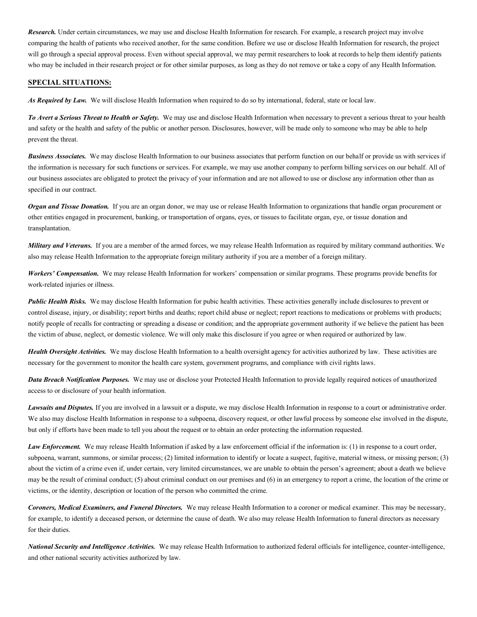*Research.* Under certain circumstances, we may use and disclose Health Information for research. For example, a research project may involve comparing the health of patients who received another, for the same condition. Before we use or disclose Health Information for research, the project will go through a special approval process. Even without special approval, we may permit researchers to look at records to help them identify patients who may be included in their research project or for other similar purposes, as long as they do not remove or take a copy of any Health Information.

#### **SPECIAL SITUATIONS:**

*As Required by Law.* We will disclose Health Information when required to do so by international, federal, state or local law.

*To Avert a Serious Threat to Health or Safety.* We may use and disclose Health Information when necessary to prevent a serious threat to your health and safety or the health and safety of the public or another person. Disclosures, however, will be made only to someone who may be able to help prevent the threat.

*Business Associates.* We may disclose Health Information to our business associates that perform function on our behalf or provide us with services if the information is necessary for such functions or services. For example, we may use another company to perform billing services on our behalf. All of our business associates are obligated to protect the privacy of your information and are not allowed to use or disclose any information other than as specified in our contract.

*Organ and Tissue Donation.* If you are an organ donor, we may use or release Health Information to organizations that handle organ procurement or other entities engaged in procurement, banking, or transportation of organs, eyes, or tissues to facilitate organ, eye, or tissue donation and transplantation.

*Military and Veterans.* If you are a member of the armed forces, we may release Health Information as required by military command authorities. We also may release Health Information to the appropriate foreign military authority if you are a member of a foreign military.

*Workers' Compensation.* We may release Health Information for workers' compensation or similar programs. These programs provide benefits for work-related injuries or illness.

*Public Health Risks.* We may disclose Health Information for pubic health activities. These activities generally include disclosures to prevent or control disease, injury, or disability; report births and deaths; report child abuse or neglect; report reactions to medications or problems with products; notify people of recalls for contracting or spreading a disease or condition; and the appropriate government authority if we believe the patient has been the victim of abuse, neglect, or domestic violence. We will only make this disclosure if you agree or when required or authorized by law.

Health Oversight Activities. We may disclose Health Information to a health oversight agency for activities authorized by law. These activities are necessary for the government to monitor the health care system, government programs, and compliance with civil rights laws.

*Data Breach Notification Purposes.* We may use or disclose your Protected Health Information to provide legally required notices of unauthorized access to or disclosure of your health information.

*Lawsuits and Disputes.* If you are involved in a lawsuit or a dispute, we may disclose Health Information in response to a court or administrative order. We also may disclose Health Information in response to a subpoena, discovery request, or other lawful process by someone else involved in the dispute, but only if efforts have been made to tell you about the request or to obtain an order protecting the information requested.

*Law Enforcement.* We may release Health Information if asked by a law enforcement official if the information is: (1) in response to a court order, subpoena, warrant, summons, or similar process; (2) limited information to identify or locate a suspect, fugitive, material witness, or missing person; (3) about the victim of a crime even if, under certain, very limited circumstances, we are unable to obtain the person's agreement; about a death we believe may be the result of criminal conduct; (5) about criminal conduct on our premises and (6) in an emergency to report a crime, the location of the crime or victims, or the identity, description or location of the person who committed the crime.

*Coroners, Medical Examiners, and Funeral Directors.* We may release Health Information to a coroner or medical examiner. This may be necessary, for example, to identify a deceased person, or determine the cause of death. We also may release Health Information to funeral directors as necessary for their duties.

*National Security and Intelligence Activities.* We may release Health Information to authorized federal officials for intelligence, counter-intelligence, and other national security activities authorized by law.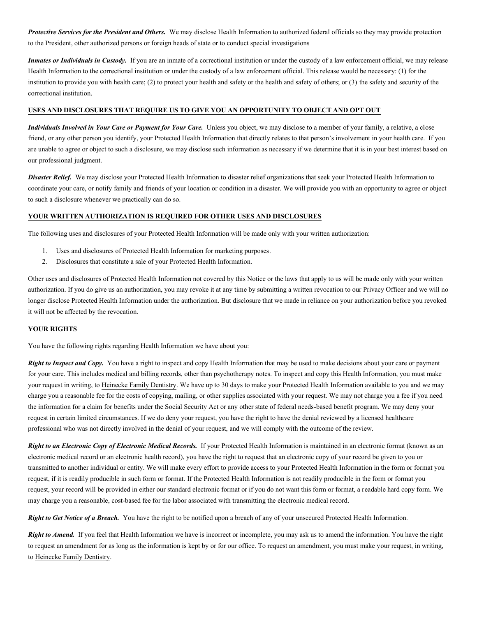*Protective Services for the President and Others.* We may disclose Health Information to authorized federal officials so they may provide protection to the President, other authorized persons or foreign heads of state or to conduct special investigations

*Inmates or Individuals in Custody.* If you are an inmate of a correctional institution or under the custody of a law enforcement official, we may release Health Information to the correctional institution or under the custody of a law enforcement official. This release would be necessary: (1) for the institution to provide you with health care; (2) to protect your health and safety or the health and safety of others; or (3) the safety and security of the correctional institution.

#### **USES AND DISCLOSURES THAT REQUIRE US TO GIVE YOU AN OPPORTUNITY TO OBJECT AND OPT OUT**

*Individuals Involved in Your Care or Payment for Your Care.* Unless you object, we may disclose to a member of your family, a relative, a close friend, or any other person you identify, your Protected Health Information that directly relates to that person's involvement in your health care. If you are unable to agree or object to such a disclosure, we may disclose such information as necessary if we determine that it is in your best interest based on our professional judgment.

*Disaster Relief.* We may disclose your Protected Health Information to disaster relief organizations that seek your Protected Health Information to coordinate your care, or notify family and friends of your location or condition in a disaster. We will provide you with an opportunity to agree or object to such a disclosure whenever we practically can do so.

#### **YOUR WRITTEN AUTHORIZATION IS REQUIRED FOR OTHER USES AND DISCLOSURES**

The following uses and disclosures of your Protected Health Information will be made only with your written authorization:

- 1. Uses and disclosures of Protected Health Information for marketing purposes.
- 2. Disclosures that constitute a sale of your Protected Health Information.

Other uses and disclosures of Protected Health Information not covered by this Notice or the laws that apply to us will be made only with your written authorization. If you do give us an authorization, you may revoke it at any time by submitting a written revocation to our Privacy Officer and we will no longer disclose Protected Health Information under the authorization. But disclosure that we made in reliance on your authorization before you revoked it will not be affected by the revocation.

#### **YOUR RIGHTS**

You have the following rights regarding Health Information we have about you:

*Right to Inspect and Copy.* You have a right to inspect and copy Health Information that may be used to make decisions about your care or payment for your care. This includes medical and billing records, other than psychotherapy notes. To inspect and copy this Health Information, you must make your request in writing, to Heinecke Family Dentistry. We have up to 30 days to make your Protected Health Information available to you and we may charge you a reasonable fee for the costs of copying, mailing, or other supplies associated with your request. We may not charge you a fee if you need the information for a claim for benefits under the Social Security Act or any other state of federal needs-based benefit program. We may deny your request in certain limited circumstances. If we do deny your request, you have the right to have the denial reviewed by a licensed healthcare professional who was not directly involved in the denial of your request, and we will comply with the outcome of the review.

*Right to an Electronic Copy of Electronic Medical Records.* If your Protected Health Information is maintained in an electronic format (known as an electronic medical record or an electronic health record), you have the right to request that an electronic copy of your record be given to you or transmitted to another individual or entity. We will make every effort to provide access to your Protected Health Information in the form or format you request, if it is readily producible in such form or format. If the Protected Health Information is not readily producible in the form or format you request, your record will be provided in either our standard electronic format or if you do not want this form or format, a readable hard copy form. We may charge you a reasonable, cost-based fee for the labor associated with transmitting the electronic medical record.

*Right to Get Notice of a Breach.* You have the right to be notified upon a breach of any of your unsecured Protected Health Information.

*Right to Amend.* If you feel that Health Information we have is incorrect or incomplete, you may ask us to amend the information. You have the right to request an amendment for as long as the information is kept by or for our office. To request an amendment, you must make your request, in writing, to Heinecke Family Dentistry.